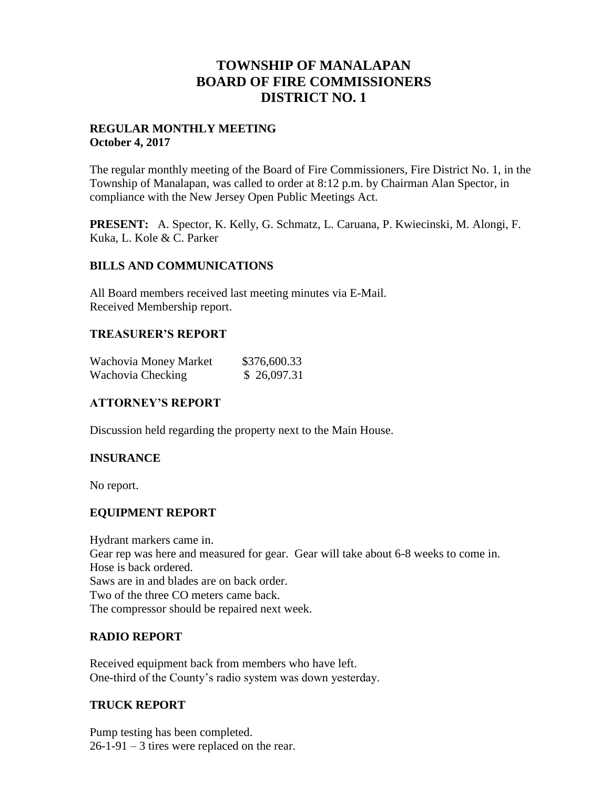# **TOWNSHIP OF MANALAPAN BOARD OF FIRE COMMISSIONERS DISTRICT NO. 1**

## **REGULAR MONTHLY MEETING October 4, 2017**

The regular monthly meeting of the Board of Fire Commissioners, Fire District No. 1, in the Township of Manalapan, was called to order at 8:12 p.m. by Chairman Alan Spector, in compliance with the New Jersey Open Public Meetings Act.

**PRESENT:** A. Spector, K. Kelly, G. Schmatz, L. Caruana, P. Kwiecinski, M. Alongi, F. Kuka, L. Kole & C. Parker

## **BILLS AND COMMUNICATIONS**

All Board members received last meeting minutes via E-Mail. Received Membership report.

## **TREASURER'S REPORT**

| Wachovia Money Market | \$376,600.33 |
|-----------------------|--------------|
| Wachovia Checking     | \$26,097.31  |

# **ATTORNEY'S REPORT**

Discussion held regarding the property next to the Main House.

# **INSURANCE**

No report.

#### **EQUIPMENT REPORT**

Hydrant markers came in. Gear rep was here and measured for gear. Gear will take about 6-8 weeks to come in. Hose is back ordered. Saws are in and blades are on back order. Two of the three CO meters came back. The compressor should be repaired next week.

#### **RADIO REPORT**

Received equipment back from members who have left. One-third of the County's radio system was down yesterday.

#### **TRUCK REPORT**

Pump testing has been completed.  $26-1-91-3$  tires were replaced on the rear.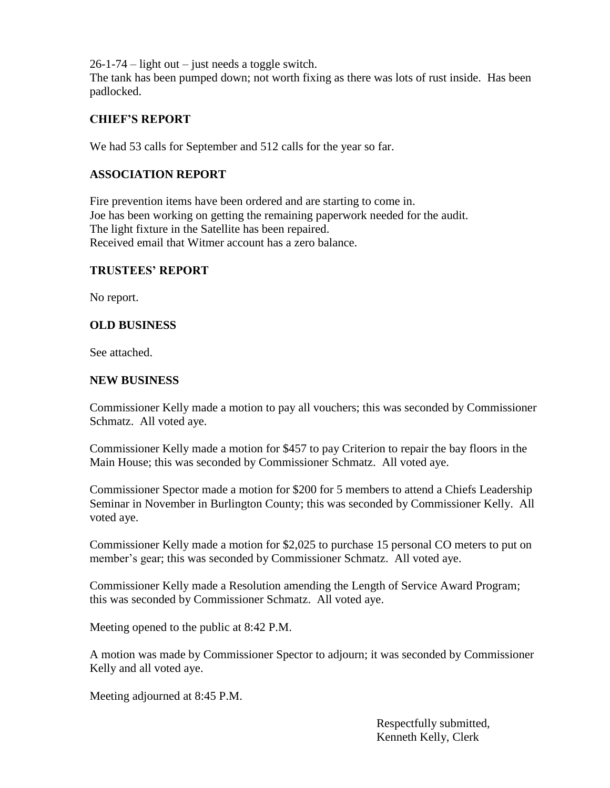$26-1-74$  – light out – just needs a toggle switch.

The tank has been pumped down; not worth fixing as there was lots of rust inside. Has been padlocked.

## **CHIEF'S REPORT**

We had 53 calls for September and 512 calls for the year so far.

# **ASSOCIATION REPORT**

Fire prevention items have been ordered and are starting to come in. Joe has been working on getting the remaining paperwork needed for the audit. The light fixture in the Satellite has been repaired. Received email that Witmer account has a zero balance.

# **TRUSTEES' REPORT**

No report.

# **OLD BUSINESS**

See attached.

## **NEW BUSINESS**

Commissioner Kelly made a motion to pay all vouchers; this was seconded by Commissioner Schmatz. All voted aye.

Commissioner Kelly made a motion for \$457 to pay Criterion to repair the bay floors in the Main House; this was seconded by Commissioner Schmatz. All voted aye.

Commissioner Spector made a motion for \$200 for 5 members to attend a Chiefs Leadership Seminar in November in Burlington County; this was seconded by Commissioner Kelly. All voted aye.

Commissioner Kelly made a motion for \$2,025 to purchase 15 personal CO meters to put on member's gear; this was seconded by Commissioner Schmatz. All voted aye.

Commissioner Kelly made a Resolution amending the Length of Service Award Program; this was seconded by Commissioner Schmatz. All voted aye.

Meeting opened to the public at 8:42 P.M.

A motion was made by Commissioner Spector to adjourn; it was seconded by Commissioner Kelly and all voted aye.

Meeting adjourned at 8:45 P.M.

 Respectfully submitted, Kenneth Kelly, Clerk